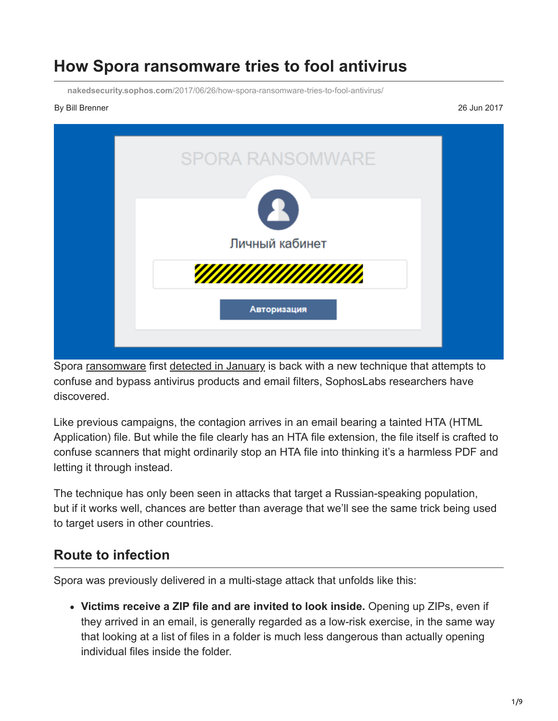# **How Spora ransomware tries to fool antivirus**

**nakedsecurity.sophos.com**[/2017/06/26/how-spora-ransomware-tries-to-fool-antivirus/](https://nakedsecurity.sophos.com/2017/06/26/how-spora-ransomware-tries-to-fool-antivirus/)

#### By Bill Brenner 26 Jun 2017

| <b>SPORA RANSOMWARE</b> |  |
|-------------------------|--|
| P                       |  |
| Личный кабинет          |  |
| YMMMMMMMM               |  |
| Авторизация             |  |
|                         |  |

Spora [ransomware](https://www.sophos.com/en-us/products/intercept-x.aspx) first [detected in January](https://nakedsecurity.sophos.com/2017/01/16/spora-ransomware-goes-freemium-with-four-different-payment-options/) is back with a new technique that attempts to confuse and bypass antivirus products and email filters, SophosLabs researchers have discovered.

Like previous campaigns, the contagion arrives in an email bearing a tainted HTA (HTML Application) file. But while the file clearly has an HTA file extension, the file itself is crafted to confuse scanners that might ordinarily stop an HTA file into thinking it's a harmless PDF and letting it through instead.

The technique has only been seen in attacks that target a Russian-speaking population, but if it works well, chances are better than average that we'll see the same trick being used to target users in other countries.

#### **Route to infection**

Spora was previously delivered in a multi-stage attack that unfolds like this:

**Victims receive a ZIP file and are invited to look inside.** Opening up ZIPs, even if they arrived in an email, is generally regarded as a low-risk exercise, in the same way that looking at a list of files in a folder is much less dangerous than actually opening individual files inside the folder.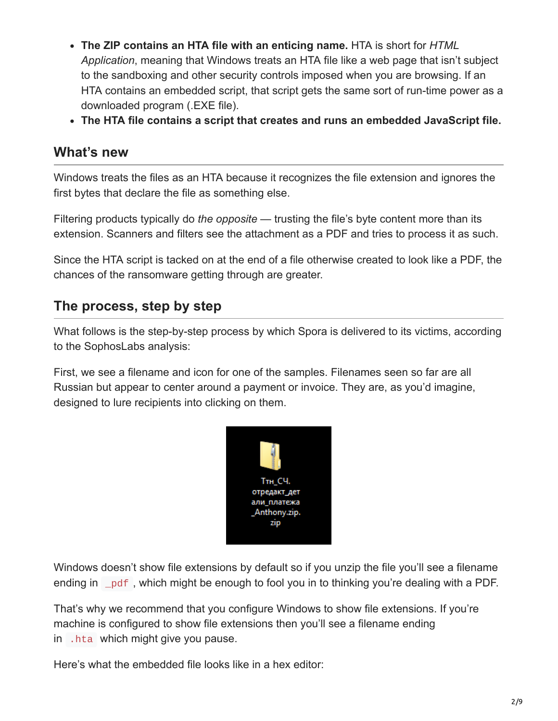- **The ZIP contains an HTA file with an enticing name.** HTA is short for *HTML Application*, meaning that Windows treats an HTA file like a web page that isn't subject to the sandboxing and other security controls imposed when you are browsing. If an HTA contains an embedded script, that script gets the same sort of run-time power as a downloaded program (.EXE file).
- **The HTA file contains a script that creates and runs an embedded JavaScript file.**

#### **What's new**

Windows treats the files as an HTA because it recognizes the file extension and ignores the first bytes that declare the file as something else.

Filtering products typically do *the opposite* — trusting the file's byte content more than its extension. Scanners and filters see the attachment as a PDF and tries to process it as such.

Since the HTA script is tacked on at the end of a file otherwise created to look like a PDF, the chances of the ransomware getting through are greater.

## **The process, step by step**

What follows is the step-by-step process by which Spora is delivered to its victims, according to the SophosLabs analysis:

First, we see a filename and icon for one of the samples. Filenames seen so far are all Russian but appear to center around a payment or invoice. They are, as you'd imagine, designed to lure recipients into clicking on them.



Windows doesn't show file extensions by default so if you unzip the file you'll see a filename ending in \_pdf, which might be enough to fool you in to thinking you're dealing with a PDF.

That's why we recommend that you configure Windows to show file extensions. If you're machine is configured to show file extensions then you'll see a filename ending in .hta which might give you pause.

Here's what the embedded file looks like in a hex editor: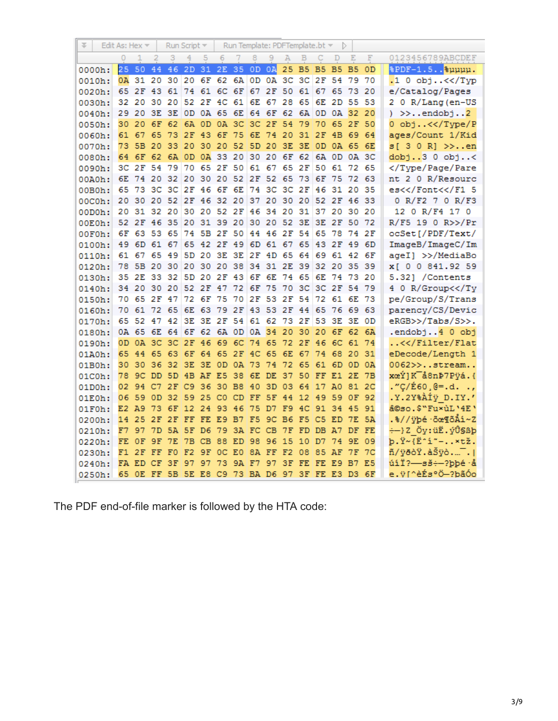| 芝         | Edit As: Hex $\blacktriangledown$ |              |                |                                                 | Run Script $\blacktriangledown$ |                |                         |           |                | Run Template: PDFTemplate.bt $\forall$ $\triangleright$ |           |                |                |                |           |                |                             |
|-----------|-----------------------------------|--------------|----------------|-------------------------------------------------|---------------------------------|----------------|-------------------------|-----------|----------------|---------------------------------------------------------|-----------|----------------|----------------|----------------|-----------|----------------|-----------------------------|
|           | 0                                 | $\mathbf{1}$ | $\overline{2}$ | -3                                              | $\overline{4}$                  |                | 56                      | -7        | 8              | - 9                                                     | Α         | В              | С              | D              | $-E$      | - F            | 0123456789ABCDEF            |
| 0000h:    | 25                                | 50           | 44             | 46                                              |                                 |                | 2D 31 2E 35 0D 0A 25 B5 |           |                |                                                         |           |                |                | <b>B5 B5</b>   | <b>B5</b> | 0 <sub>D</sub> | %PDF-1.5%pppp.              |
| 0010h:    | 0A                                | 31           | 20             | 30                                              | 20                              | 6F             | 62 6A                   |           |                | OD 0A 3C 3C                                             |           |                |                | 2F 54          | 79        | 70             | $.1$ 0 obj $<<$ /Typ        |
| 0020h:    |                                   | 65 2F 43 61  |                |                                                 |                                 |                | 74 61 6C 6F             |           |                | 67 2F 50 61                                             |           |                |                | 67 65          | 73        | -20            | e/Catalog/Pages             |
| 0030h:    | 32                                | 20           |                | 30 20                                           |                                 |                | 52 2F 4C 61             |           | 6E             | 67                                                      | 28        | 65             | 6E             | 2 D            | 55        | - 53           | 0 R/Lang (en-US<br>2.       |
| 0040h:    | 29                                | 20           | 3E             | 3E                                              |                                 |                | OD 0A 65 6E 64 6F       |           |                |                                                         | -62       | 6A             | 0D             |                | 0A 32     | - 20           | $\rightarrow$ endobj2<br>ν. |
| 0050h:    | 30                                | 20           | 6F             | 62                                              |                                 | 6A 0D          | 0A 3C                   |           |                | 3C 2F                                                   | 54        | 79             | 70             | 65             |           | 2F 50          | 0 obj<                      |
| 0060h:    | 61                                | 67           | 65             | 73                                              | 2F                              | 43             | 6F                      | 75        | 6E             |                                                         | 74 20     | 31             | 2F             | 4B             | 69        | 64             | ages/Count 1/Kid            |
| 0070h:    | 73                                | 5 <b>B</b>   | 20             | 33                                              | 20                              |                | 30 20 52 5D             |           |                | 20                                                      |           | 3E 3E          | 0 <sub>D</sub> |                | 0A 65 6E  |                | s[ 3 0 R] >>en              |
| 0080h:    | 64                                | 6F           | 62             |                                                 | 6A 0D                           |                | 0A 33 20                |           |                | 30 20 6F 62                                             |           |                | 6A             | 0D             |           | 0A 3C          | dobj3 0 obj<                |
| 0090h:    |                                   | $3C$ $2F$    | 54             | 79                                              | 70                              |                | 65 2F 50                |           | 61             | 67                                                      | 65        | 2F             | 50             | 61             | 72        | 65             |                             |
| $00A0h$ : | 6E                                |              | 74 20 32       |                                                 | 20                              |                | 30 20 52                |           | 2F             | -52                                                     | 65        | 73             | 6F             | 75             | 72        | -63            | nt 2 0 R/Resourc            |
| 00B0h:    | 65                                | 73 3C 3C     |                |                                                 |                                 |                | 2F 46 6F 6E             |           | 74             | 3C 3C 2F                                                |           |                | 46             | 31 20          |           | -35            | es<                         |
| 00C0h:    | 20                                |              |                | 30 20 52 2F 46 32 20                            |                                 |                |                         |           | 37             |                                                         | 20 30 20  |                |                | 52 2F          | 46        | - 33           | 0 R/F2 7 0 R/F3             |
| $00D0h$ : | 20                                |              | 31 32 20       |                                                 | 30                              |                | 20 52 2F                |           | 46             |                                                         | 34 20     | 31             | 37             | 20             |           | 30 20          | 12 0 R/F4 17 0              |
| OOEOh:    |                                   | 52 2F 46 35  |                |                                                 |                                 |                | 20 31 39 20             |           |                | 30 20 52 3E                                             |           |                | 3E             | 2F             | 50        | 72             | R/F5 19 0 R>>/Pr            |
| 00F0h:    | 6F                                | 63           | 53             | 65                                              | 74                              |                | 5B 2F 50                |           | 44             |                                                         | 46 2F     | 54             | 65             | 78             | 74        | 2F             | ocSet[/PDF/Text/            |
| 0100h:    | 49                                |              | 6D 61 67       |                                                 | 65                              |                | 42 2F 49                |           | 6D             | 61 67 65                                                |           |                | 43             | 2F             |           | 49 6D          | ImageB/ImageC/Im            |
| 0110h:    | 61                                |              | 67 65          | -49                                             |                                 | 5D 20          | 3E 3E                   |           | 2F             | 4D                                                      | 65        | 64             | 69             | 61             | 42 6F     |                | ageI] >>/MediaBo            |
| 0120h:    | 78                                |              | 5B 20          | 30                                              | 20                              |                | 30 20 38                |           | 34             | 31                                                      | 2E        | -39            | 32             | 20             | 35        | -39            | X [ 0 0 841.92 59           |
| 0130h:    | 35                                |              | 2E 33          | 32                                              |                                 | 5D 20 2F       |                         | 43        | 6F             | 6E                                                      | 74        | 65             | 6E             | 74             | 73        | -20            | 5.32] /Contents             |
| 0140h:    | 34                                | 20           | 30             | 20                                              | 52                              | 2F             | 47                      | 72        | 6F             | 75                                                      | 70        | 3 <sup>C</sup> | 3 <sup>C</sup> | 2F             | -54       | -79            | 4 0 R/Group<                |
| 0150h:    | 70                                | 65           | 2 F            | 47                                              | 72                              | 6F             | 75                      | 70        | 2F             | 53                                                      | 2 F       | 54             | 72             | 61             | 6E        | -73            | pe/Group/S/Trans            |
| 0160h:    | 70                                | 61           | 72             | 65                                              |                                 | 6E 63          | 79 2F                   |           | 43             | 53 2F                                                   |           | 44             | 65             |                | 76 69 63  |                | parency/CS/Devic            |
| 0170h:    | 65                                | -52          | 47             | 42                                              |                                 |                | 3E 3E 2F 54             |           |                | 61 62                                                   | 73        | 2F             | 53             | 3E             | ЗE        | 0D             | eRGB>>/Tabs/S>>.            |
| 0180h:    |                                   |              |                | 0A 65 6E 64 6F 62 6A 0D                         |                                 |                |                         |           | 0A 34          |                                                         | 20        | 30             | 20             | 6F             | 62        | 6A             | endobj4 0 obj.              |
| 0190h:    | OD.                               |              |                | 0A 3C 3C 2F 46 69 6C                            |                                 |                |                         |           |                | 74 65                                                   | 72        | 2F             | 46             | 6C             | 61        | 74             | <                           |
| 01A0h:    | 65                                |              |                | 44 65 63 6F                                     |                                 | 64 65          |                         | 2F        | 4C             | 65                                                      | 6E        | 67             | 74             | 68             | 20        | 31             | eDecode/Length 1            |
| 01B0h:    | 30                                | 30           | 36             | $32$ $3E$                                       |                                 | 3E OD          |                         | 0A 73     |                | 74                                                      | 72        | 65             | 61             | 6 <sub>D</sub> | 0D        | 0A             | $0062$ >>stream             |
| 01C0h:    | 78                                |              | 9C DD 5D       |                                                 | 4B AF E5                        |                |                         | 38        | 6E             | <b>DE</b>                                               | 37        | 50             | FF             | E1             | 2E        | 7B             | xœÝ]K å8nÞ7Pÿá.{            |
| 01D0h:    | 02                                |              |                | 94 C7 2F C9                                     |                                 |                | 36 30 B8                |           | 40             | 3D                                                      | -03       | 64             | 17             | A <sub>0</sub> | 81        | - 2C           | .‴Ç/É60,@=.d. .,            |
| 01E0h:    | 06                                | 59           | 0D             |                                                 | 32 59 25 CO CD FF               |                |                         |           |                | 5F                                                      | 44        | 12             | 49             | 59             | 0F        | 92             | Y.2Y%ÀÍÿ D.IY.'.            |
| 01F0h:    | E2.                               | A9           | 73             | 6F                                              | 12 <sup>2</sup>                 | 24             | 93                      | 46        | 75             | D7                                                      | F9        | 4C             | 91             | 34             | 45        | 91             | â©so. \$"Fu*ùL'4E'          |
| 0200h:    | 14                                | 25           | 2F             | 2F                                              | FF                              | FE.            | E <sub>9</sub>          | <b>B7</b> | F <sub>5</sub> | 9C                                                      | <b>B6</b> | F5             | C <sub>5</sub> | ED.            | <b>7E</b> | $-5A$          | .%//ÿþé∙õœ¶õÅí∼Z            |
| 0210h:    | F7                                | 97           | 7D             | 5A                                              | 5F                              | D <sub>6</sub> | 79                      |           | 3A FC          | CB                                                      | 7F        | FD             | <b>DB</b>      | A7             | <b>DF</b> | FE             | ÷-}Z Öy:üË.ýÛ\$ßþ           |
| 0220h:    | FE.                               | ΟF           | 9F             | <b>7E</b>                                       | 7B                              | CB             | 88                      | <b>ED</b> | 98             | 96                                                      | 15        | 10             | D7             | 74             | 9E        | 09             | b.Ÿ~{Ë^í~-×tž.              |
| 0230h:    | F1.                               | 2F           | FF             | F0                                              | F2                              | 9F             | $_{\rm oc}$             | E0        |                | 8A FF                                                   | F2        | 08             | 85             | AF             | 7F        | -7C            | ñ/ÿðòŸ.àŠÿò.…¯.             |
| 0240h:    | FA                                | ED.          | <b>CF</b>      | 3F                                              | 97                              | 97             | 73                      |           | 9A F7          | 97                                                      | 3F        | FE             | FE E9          |                | <b>B7</b> | E <sub>5</sub> | úiÏ?—sš÷—?þþé~å             |
| 0250h:    |                                   |              |                | 65 OE FF 5B 5E E8 C9 73 BA D6 97 3F FE E3 D3 6F |                                 |                |                         |           |                |                                                         |           |                |                |                |           |                | e.ÿ[^èÉs°Ö—?þãÓo            |

The PDF end-of-file marker is followed by the HTA code: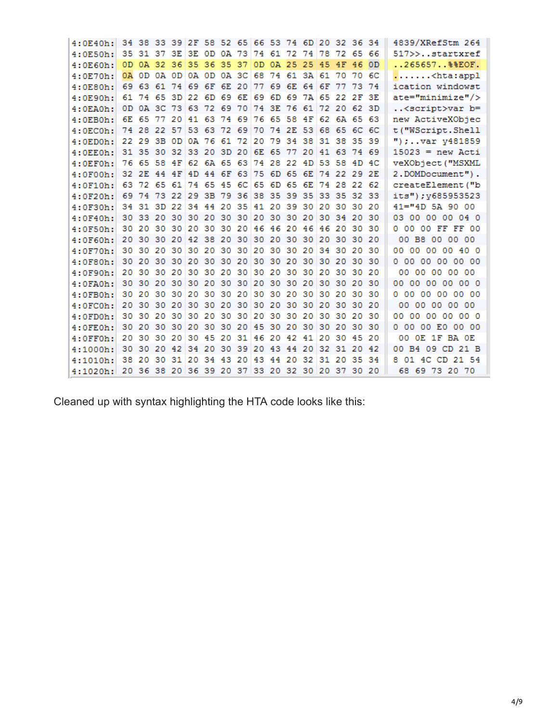| 4:0E40h:    |     |          |          |                |     |    |       |                 |           |  |             |    |       |    |     | 34 38 33 39 2F 58 52 65 66 53 74 6D 20 32 36 34 | 4839/XRefStm 264                       |
|-------------|-----|----------|----------|----------------|-----|----|-------|-----------------|-----------|--|-------------|----|-------|----|-----|-------------------------------------------------|----------------------------------------|
| 4:0E50h:    |     | 35 31 37 |          | 3E             | 3E. | 0D |       | 0A 73 74 61     |           |  | 72          | 74 | 78    | 72 | 65  | 66                                              | 517>>startxref                         |
| $4:0E60h$ : | 0D  |          | 0A 32    | 36             | 35  | 36 | 35    | 37 <sup>1</sup> | <b>OD</b> |  | 0A 25       | 25 | 45    | 4F | 46  | 0 <sub>D</sub>                                  | $.265657.$ . \$\$EOF.                  |
| $4:0E70h$ : | 0A  |          |          | OD OA OD OA OD |     |    |       | 0A 3C 68        |           |  | 74 61 3A 61 |    |       | 70 | 70  | 6C                                              | $\ldots$ <hta:appl< td=""></hta:appl<> |
| $4:0E80h$ : |     | 69 63 61 |          | 74 69 6F 6E 20 |     |    |       |                 | -77       |  | 69 6E 64 6F |    |       | 77 | 73  | 74                                              | ication windowst                       |
| $4:0E90h$ : | 61. |          | 74 65    | 3D             | 22  | 6D | 69 6E |                 |           |  | 69 6D 69    |    | 7A 65 | 22 | 2 F | 3E                                              | $ate="minimize"$ /                     |
| 4:0EAOh:    | 0D. |          | 0A 3C 73 |                | 63  | 72 | 69    | 70              | 74 3E     |  | 76 61       |    | 72    | 20 | 62  | - 3D                                            | <script></script>                      |

Cleaned up with syntax highlighting the HTA code looks like this: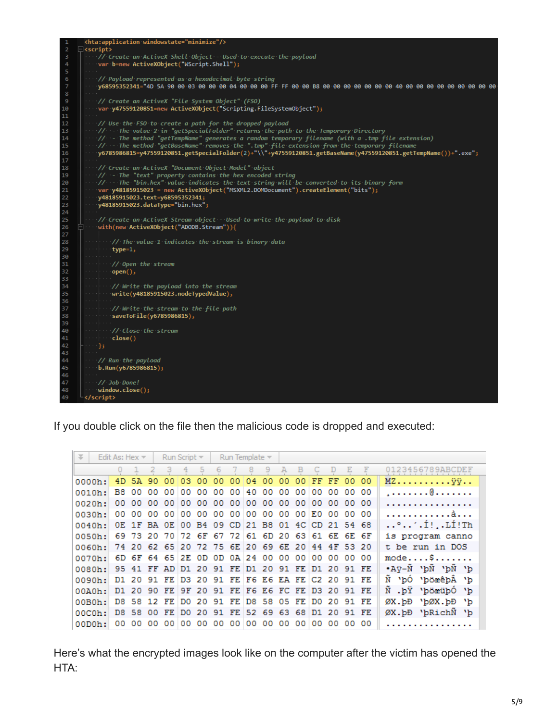

If you double click on the file then the malicious code is dropped and executed:

| $\leq$    | Edit As: Hex $\overline{\phantom{a}}$ |    |       |             | Run Script ~ |    |    | Run Template $\sim$                             |    |    |       |    |     |     |                 |       |                                                  |
|-----------|---------------------------------------|----|-------|-------------|--------------|----|----|-------------------------------------------------|----|----|-------|----|-----|-----|-----------------|-------|--------------------------------------------------|
|           |                                       |    |       |             |              | 5  | 6  |                                                 | 8  | 9  | А     |    |     |     |                 |       | 0123456789ABCDEF                                 |
| 0000h:    | 4D.                                   |    | 5A 90 | 00          | 03           | 00 | 00 | 00                                              | 04 | 00 | 00    | 00 | FF. | FF. | 00 <sup>o</sup> | 00    | $MZ$ $\ddot{y} \ddot{y}$                         |
| 0010h:    | B8.                                   | 00 | 00    | 00          | 00           | 00 | 00 | 00                                              | 40 | 00 | 00    | 00 | 00  | 00  |                 | 00 00 | . @.                                             |
| 0020h:    | 00                                    | 00 | 00    | 00          | 00           | 00 | 00 | 00                                              | 00 | 00 | 00    | 00 | 00  | 00  | 00              | 00    | .                                                |
| 0030h:    | oo                                    | 00 | 00    | 00          | 00           | 00 | 00 | 00                                              | 00 | 00 | 00    | 00 | E0. | 00  | 00 <sup>o</sup> | 00    | <u>. â</u>                                       |
| 0040h:    |                                       |    |       |             |              |    |    | 0E 1F BA 0E 00 B4 09 CD 21 B8 01 4C CD 21 54 68 |    |    |       |    |     |     |                 |       | $\ldots$ ° $\ldots$ ' $\ldots$ i!, $\ldots$ i!Th |
| 0050h:    |                                       |    |       | 69 73 20 70 |              |    |    | 72 6F 67 72 61 6D 20 63 61 6E 6E 6F             |    |    |       |    |     |     |                 |       | is program canno                                 |
| 0060h:    |                                       |    |       |             |              |    |    | 74 20 62 65 20 72 75 6E 20 69 6E 20 44 4F 53 20 |    |    |       |    |     |     |                 |       | t be run in DOS                                  |
| 0070h:    |                                       |    |       |             |              |    |    | 6D 6F 64 65 2E 0D 0D 0A 24                      |    |    | 00 00 | 00 | 00  | 00  | 00              | 00    | $mode \ldots$ s                                  |
| 0080h:    |                                       |    |       |             |              |    |    | 95 41 FF AD D1 20 91 FE D1 20 91 FE D1 20 91 FE |    |    |       |    |     |     |                 |       | ∙Aÿ-Ñ 'bÑ 'bÑ 'b                                 |
| 0090h:    |                                       |    |       |             |              |    |    | D1 20 91 FE D3 20 91 FE F6 E6 EA FE C2 20 91 FE |    |    |       |    |     |     |                 |       | Ñ 'þÓ 'þöæêþÄ 'þ                                 |
| $00A0h$ : |                                       |    |       |             |              |    |    | D1 20 90 FE 9F 20 91 FE F6 E6 FC FE D3 20 91 FE |    |    |       |    |     |     |                 |       | Ñ .þŸ 'þöæüþÓ<br>- No                            |
| $00B0h$ : |                                       |    |       | D8 58 12 FE |              |    |    | DO 20 91 FE D8 58 05 FE DO                      |    |    |       |    |     |     | 20 91 FE        |       | ØX.bĐ 'bØX.bĐ<br>мb,                             |
| 00C0h:    |                                       |    |       |             |              |    |    | D8 58 00 FE D0 20 91 FE 52 69 63 68 D1 20 91 FE |    |    |       |    |     |     |                 |       | ØX.bĐ 'bRichÑ 'b                                 |
| $00D0h$ : | 00                                    |    | 00    | o٥          | 00           | 00 | oo | 00                                              | 00 | 00 | 00    | 00 | 00  | 00  | 00              | 00    |                                                  |

Here's what the encrypted images look like on the computer after the victim has opened the HTA: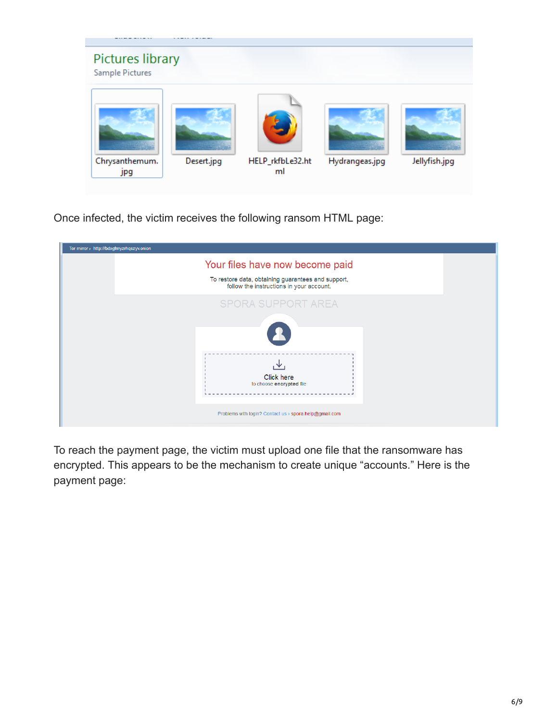

Once infected, the victim receives the following ransom HTML page:



To reach the payment page, the victim must upload one file that the ransomware has encrypted. This appears to be the mechanism to create unique "accounts." Here is the payment page: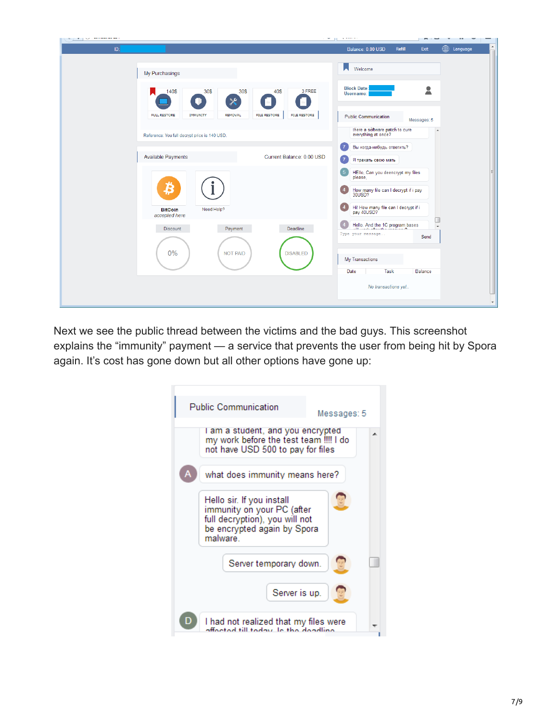| $\frac{1}{2}$ , $\frac{1}{2}$ , $\frac{1}{2}$ , $\frac{1}{2}$ , $\frac{1}{2}$ , $\frac{1}{2}$ , $\frac{1}{2}$ , $\frac{1}{2}$ , $\frac{1}{2}$ , $\frac{1}{2}$ , $\frac{1}{2}$ , $\frac{1}{2}$ , $\frac{1}{2}$ , $\frac{1}{2}$ , $\frac{1}{2}$ , $\frac{1}{2}$ , $\frac{1}{2}$ , $\frac{1}{2}$ , $\frac{1$ | with a series<br>P.                                                                                                       |
|-----------------------------------------------------------------------------------------------------------------------------------------------------------------------------------------------------------------------------------------------------------------------------------------------------------|---------------------------------------------------------------------------------------------------------------------------|
| ID:                                                                                                                                                                                                                                                                                                       | <b>ED</b> Language<br>Balance: 0.00 USD<br>Refill<br>Exit                                                                 |
| My Purchasings                                                                                                                                                                                                                                                                                            | Welcome<br>И                                                                                                              |
| <b>140\$</b><br>30\$<br>30\$<br>40\$<br>$\mathsf{x}$                                                                                                                                                                                                                                                      | <b>Block Date:</b><br>3 FREE<br>Username:                                                                                 |
| <b>FULL RESTORE</b><br><b>REMOVAL</b><br><b>FILE RESTORE</b><br><b>IMMUNITY</b>                                                                                                                                                                                                                           | <b>FILE RESTORE</b><br><b>Public Communication</b><br>Messages: 5                                                         |
| Reference: You full decrypt price is 140 USD.                                                                                                                                                                                                                                                             | there a software patch to cure<br>$\overline{\phantom{a}}$<br>everything at once?                                         |
|                                                                                                                                                                                                                                                                                                           | Вы когда-нибудь ответить?                                                                                                 |
| <b>Available Payments</b>                                                                                                                                                                                                                                                                                 | Current Balance: 0.00 USD<br>Я трахать свою мать                                                                          |
| ₿                                                                                                                                                                                                                                                                                                         | HEllo, Can you deencrypt my files<br>$\overline{\mathbf{5}}$<br>please,<br>How many file can I decrypt if i pay<br>30USD? |
| Need Help?<br><b>BitCoin</b><br>accepted here                                                                                                                                                                                                                                                             | Hi! How many file can I decrypt if i<br>pay 40USD?                                                                        |
| Payment<br><b>Discount</b>                                                                                                                                                                                                                                                                                | Hello. And the 1C program bases<br>Deadline                                                                               |
| $0\%$<br><b>NOT PAID</b>                                                                                                                                                                                                                                                                                  | Type your message<br>Send<br><b>DISABLED</b><br>My Transactions                                                           |
|                                                                                                                                                                                                                                                                                                           | Task<br><b>Balance</b><br>Date                                                                                            |
|                                                                                                                                                                                                                                                                                                           | No transactions yet<br>$\overline{\nabla}$                                                                                |

Next we see the public thread between the victims and the bad guys. This screenshot explains the "immunity" payment — a service that prevents the user from being hit by Spora again. It's cost has gone down but all other options have gone up:

| <b>Public Communication</b>                                                                                                         |             |  |  |  |  |  |  |  |
|-------------------------------------------------------------------------------------------------------------------------------------|-------------|--|--|--|--|--|--|--|
|                                                                                                                                     | Messages: 5 |  |  |  |  |  |  |  |
| I am a student, and you encrypted<br>my work before the test team !!!! I do<br>not have USD 500 to pay for files                    |             |  |  |  |  |  |  |  |
| what does immunity means here?                                                                                                      |             |  |  |  |  |  |  |  |
| Hello sir. If you install<br>immunity on your PC (after<br>full decryption), you will not<br>be encrypted again by Spora<br>malware |             |  |  |  |  |  |  |  |
| Server temporary down.                                                                                                              |             |  |  |  |  |  |  |  |
| Server is up.                                                                                                                       |             |  |  |  |  |  |  |  |
| I had not realized that my files were<br>afforted till today. In the deadline                                                       |             |  |  |  |  |  |  |  |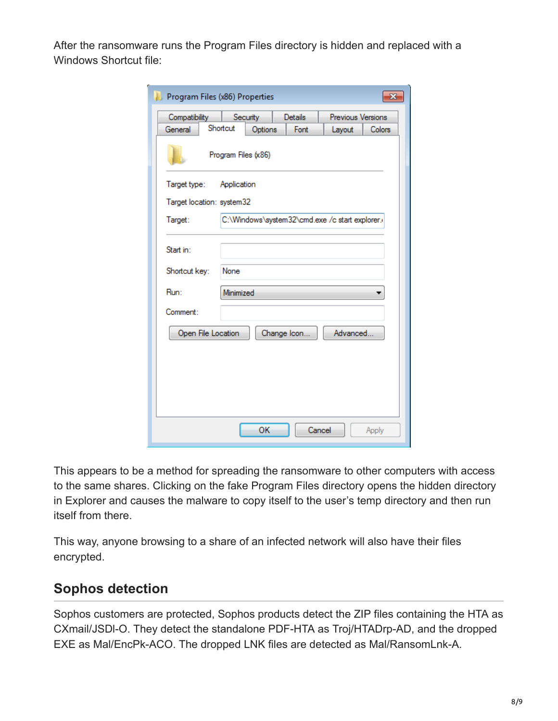After the ransomware runs the Program Files directory is hidden and replaced with a Windows Shortcut file:

| Program Files (x86) Properties<br>x |                                                 |                            |      |                   |               |  |  |  |  |  |  |  |
|-------------------------------------|-------------------------------------------------|----------------------------|------|-------------------|---------------|--|--|--|--|--|--|--|
| Compatibility                       |                                                 | Security<br><b>Details</b> |      | Previous Versions |               |  |  |  |  |  |  |  |
| General                             | Shortcut                                        | Options                    | Font | Layout            | <b>Colors</b> |  |  |  |  |  |  |  |
| Program Files (x86)                 |                                                 |                            |      |                   |               |  |  |  |  |  |  |  |
| Target type:<br>Application         |                                                 |                            |      |                   |               |  |  |  |  |  |  |  |
| Target location: system32           |                                                 |                            |      |                   |               |  |  |  |  |  |  |  |
| Target:                             | C:\Windows\system32\cmd.exe /c start explorer.i |                            |      |                   |               |  |  |  |  |  |  |  |
| Start in:<br>Shortcut key:          | None                                            |                            |      |                   |               |  |  |  |  |  |  |  |
| Run:                                | Minimized                                       |                            |      |                   |               |  |  |  |  |  |  |  |
| Comment:                            |                                                 |                            |      |                   |               |  |  |  |  |  |  |  |
|                                     | Advanced<br>Open File Location<br>Change Icon   |                            |      |                   |               |  |  |  |  |  |  |  |
|                                     |                                                 |                            |      |                   |               |  |  |  |  |  |  |  |
|                                     |                                                 |                            |      |                   |               |  |  |  |  |  |  |  |
|                                     |                                                 |                            |      |                   |               |  |  |  |  |  |  |  |
| OK<br>Cancel<br>Apply               |                                                 |                            |      |                   |               |  |  |  |  |  |  |  |

This appears to be a method for spreading the ransomware to other computers with access to the same shares. Clicking on the fake Program Files directory opens the hidden directory in Explorer and causes the malware to copy itself to the user's temp directory and then run itself from there.

This way, anyone browsing to a share of an infected network will also have their files encrypted.

# **Sophos detection**

Sophos customers are protected, Sophos products detect the ZIP files containing the HTA as CXmail/JSDl-O. They detect the standalone PDF-HTA as Troj/HTADrp-AD, and the dropped EXE as Mal/EncPk-ACO. The dropped LNK files are detected as Mal/RansomLnk-A.